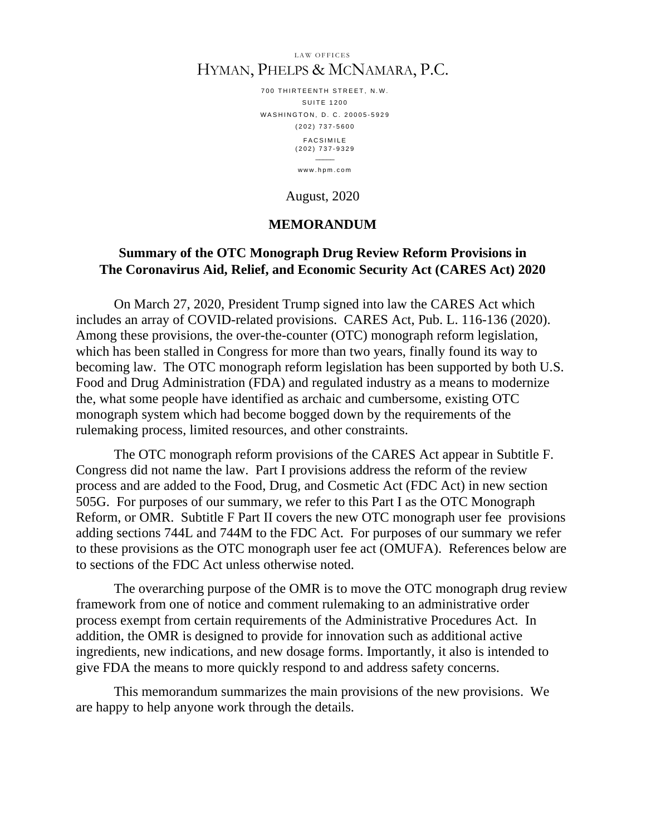#### LAW OFFICES HYMAN, PHELPS & MCNAMARA, P.C.

700 THIRTEENTH STREET, N.W. SUITE 1200 WASHINGTON, D. C. 20005-5929 (202) 737 - 5600 FACSIMILE (202) 737 - 9329  $\overline{\phantom{a}}$ 

www.hpm.com

#### August, 2020

#### **MEMORANDUM**

## **Summary of the OTC Monograph Drug Review Reform Provisions in The Coronavirus Aid, Relief, and Economic Security Act (CARES Act) 2020**

On March 27, 2020, President Trump signed into law the CARES Act which includes an array of COVID-related provisions. CARES Act, Pub. L. 116-136 (2020). Among these provisions, the over-the-counter (OTC) monograph reform legislation, which has been stalled in Congress for more than two years, finally found its way to becoming law. The OTC monograph reform legislation has been supported by both U.S. Food and Drug Administration (FDA) and regulated industry as a means to modernize the, what some people have identified as archaic and cumbersome, existing OTC monograph system which had become bogged down by the requirements of the rulemaking process, limited resources, and other constraints.

The OTC monograph reform provisions of the CARES Act appear in Subtitle F. Congress did not name the law. Part I provisions address the reform of the review process and are added to the Food, Drug, and Cosmetic Act (FDC Act) in new section 505G. For purposes of our summary, we refer to this Part I as the OTC Monograph Reform, or OMR. Subtitle F Part II covers the new OTC monograph user fee provisions adding sections 744L and 744M to the FDC Act. For purposes of our summary we refer to these provisions as the OTC monograph user fee act (OMUFA). References below are to sections of the FDC Act unless otherwise noted.

The overarching purpose of the OMR is to move the OTC monograph drug review framework from one of notice and comment rulemaking to an administrative order process exempt from certain requirements of the Administrative Procedures Act. In addition, the OMR is designed to provide for innovation such as additional active ingredients, new indications, and new dosage forms. Importantly, it also is intended to give FDA the means to more quickly respond to and address safety concerns.

This memorandum summarizes the main provisions of the new provisions. We are happy to help anyone work through the details.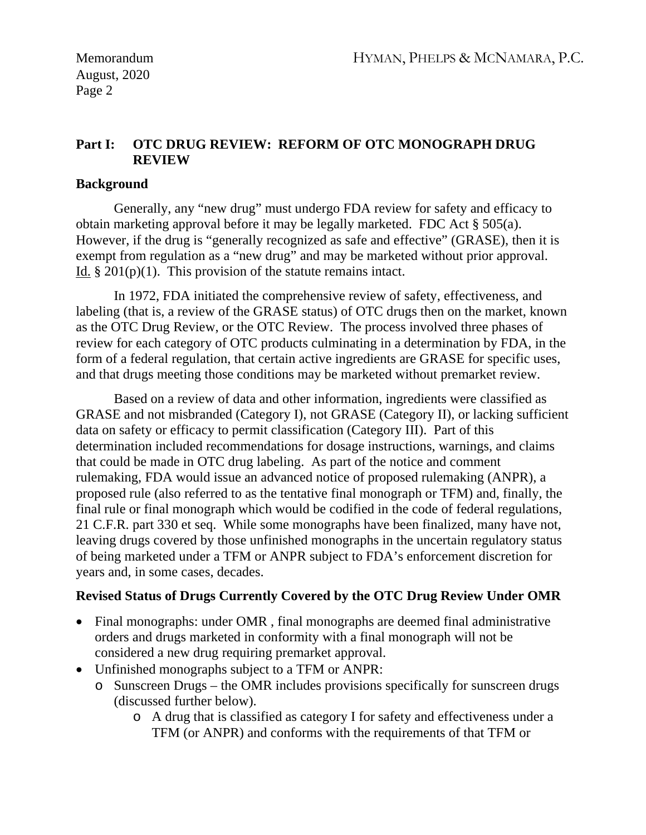# **Part I: OTC DRUG REVIEW: REFORM OF OTC MONOGRAPH DRUG REVIEW**

## **Background**

Generally, any "new drug" must undergo FDA review for safety and efficacy to obtain marketing approval before it may be legally marketed. FDC Act § 505(a). However, if the drug is "generally recognized as safe and effective" (GRASE), then it is exempt from regulation as a "new drug" and may be marketed without prior approval. Id.  $\S 201(p)(1)$ . This provision of the statute remains intact.

In 1972, FDA initiated the comprehensive review of safety, effectiveness, and labeling (that is, a review of the GRASE status) of OTC drugs then on the market, known as the OTC Drug Review, or the OTC Review. The process involved three phases of review for each category of OTC products culminating in a determination by FDA, in the form of a federal regulation, that certain active ingredients are GRASE for specific uses, and that drugs meeting those conditions may be marketed without premarket review.

Based on a review of data and other information, ingredients were classified as GRASE and not misbranded (Category I), not GRASE (Category II), or lacking sufficient data on safety or efficacy to permit classification (Category III). Part of this determination included recommendations for dosage instructions, warnings, and claims that could be made in OTC drug labeling. As part of the notice and comment rulemaking, FDA would issue an advanced notice of proposed rulemaking (ANPR), a proposed rule (also referred to as the tentative final monograph or TFM) and, finally, the final rule or final monograph which would be codified in the code of federal regulations, 21 C.F.R. part 330 et seq. While some monographs have been finalized, many have not, leaving drugs covered by those unfinished monographs in the uncertain regulatory status of being marketed under a TFM or ANPR subject to FDA's enforcement discretion for years and, in some cases, decades.

# **Revised Status of Drugs Currently Covered by the OTC Drug Review Under OMR**

- Final monographs: under OMR, final monographs are deemed final administrative orders and drugs marketed in conformity with a final monograph will not be considered a new drug requiring premarket approval.
- Unfinished monographs subject to a TFM or ANPR:
	- o Sunscreen Drugs the OMR includes provisions specifically for sunscreen drugs (discussed further below).
		- o A drug that is classified as category I for safety and effectiveness under a TFM (or ANPR) and conforms with the requirements of that TFM or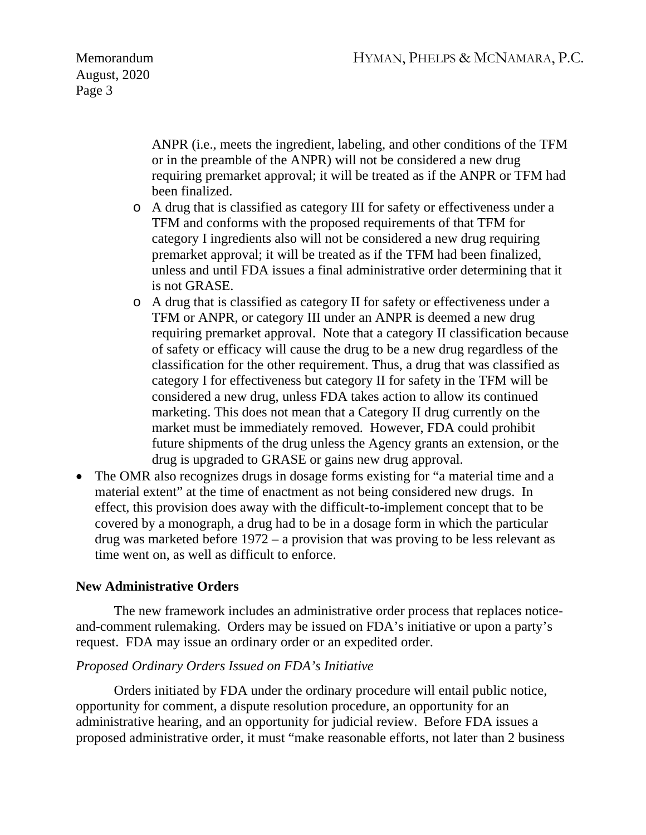> ANPR (i.e., meets the ingredient, labeling, and other conditions of the TFM or in the preamble of the ANPR) will not be considered a new drug requiring premarket approval; it will be treated as if the ANPR or TFM had been finalized.

- o A drug that is classified as category III for safety or effectiveness under a TFM and conforms with the proposed requirements of that TFM for category I ingredients also will not be considered a new drug requiring premarket approval; it will be treated as if the TFM had been finalized, unless and until FDA issues a final administrative order determining that it is not GRASE.
- o A drug that is classified as category II for safety or effectiveness under a TFM or ANPR, or category III under an ANPR is deemed a new drug requiring premarket approval. Note that a category II classification because of safety or efficacy will cause the drug to be a new drug regardless of the classification for the other requirement. Thus, a drug that was classified as category I for effectiveness but category II for safety in the TFM will be considered a new drug, unless FDA takes action to allow its continued marketing. This does not mean that a Category II drug currently on the market must be immediately removed. However, FDA could prohibit future shipments of the drug unless the Agency grants an extension, or the drug is upgraded to GRASE or gains new drug approval.
- The OMR also recognizes drugs in dosage forms existing for "a material time and a material extent" at the time of enactment as not being considered new drugs. In effect, this provision does away with the difficult-to-implement concept that to be covered by a monograph, a drug had to be in a dosage form in which the particular drug was marketed before 1972 – a provision that was proving to be less relevant as time went on, as well as difficult to enforce.

#### **New Administrative Orders**

The new framework includes an administrative order process that replaces noticeand-comment rulemaking. Orders may be issued on FDA's initiative or upon a party's request. FDA may issue an ordinary order or an expedited order.

#### *Proposed Ordinary Orders Issued on FDA's Initiative*

Orders initiated by FDA under the ordinary procedure will entail public notice, opportunity for comment, a dispute resolution procedure, an opportunity for an administrative hearing, and an opportunity for judicial review. Before FDA issues a proposed administrative order, it must "make reasonable efforts, not later than 2 business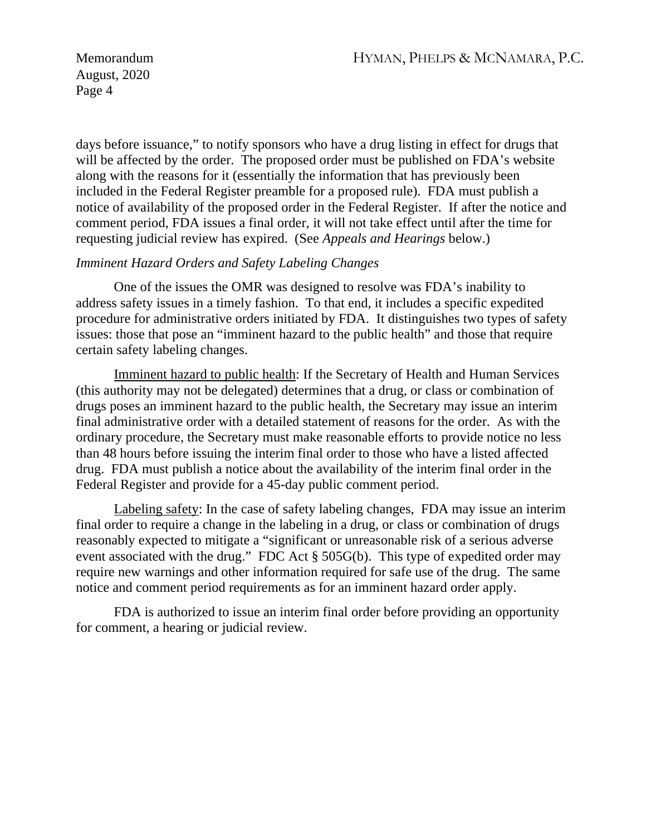days before issuance," to notify sponsors who have a drug listing in effect for drugs that will be affected by the order. The proposed order must be published on FDA's website along with the reasons for it (essentially the information that has previously been included in the Federal Register preamble for a proposed rule). FDA must publish a notice of availability of the proposed order in the Federal Register. If after the notice and comment period, FDA issues a final order, it will not take effect until after the time for requesting judicial review has expired. (See *Appeals and Hearings* below.)

## *Imminent Hazard Orders and Safety Labeling Changes*

One of the issues the OMR was designed to resolve was FDA's inability to address safety issues in a timely fashion. To that end, it includes a specific expedited procedure for administrative orders initiated by FDA. It distinguishes two types of safety issues: those that pose an "imminent hazard to the public health" and those that require certain safety labeling changes.

Imminent hazard to public health: If the Secretary of Health and Human Services (this authority may not be delegated) determines that a drug, or class or combination of drugs poses an imminent hazard to the public health, the Secretary may issue an interim final administrative order with a detailed statement of reasons for the order. As with the ordinary procedure, the Secretary must make reasonable efforts to provide notice no less than 48 hours before issuing the interim final order to those who have a listed affected drug. FDA must publish a notice about the availability of the interim final order in the Federal Register and provide for a 45-day public comment period.

Labeling safety: In the case of safety labeling changes, FDA may issue an interim final order to require a change in the labeling in a drug, or class or combination of drugs reasonably expected to mitigate a "significant or unreasonable risk of a serious adverse event associated with the drug." FDC Act § 505G(b). This type of expedited order may require new warnings and other information required for safe use of the drug. The same notice and comment period requirements as for an imminent hazard order apply.

FDA is authorized to issue an interim final order before providing an opportunity for comment, a hearing or judicial review.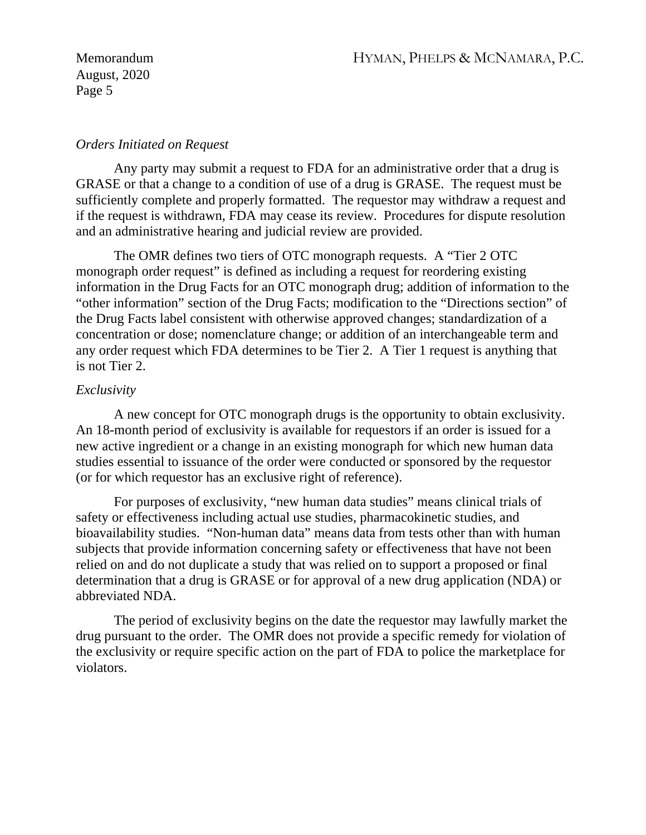#### *Orders Initiated on Request*

Any party may submit a request to FDA for an administrative order that a drug is GRASE or that a change to a condition of use of a drug is GRASE. The request must be sufficiently complete and properly formatted. The requestor may withdraw a request and if the request is withdrawn, FDA may cease its review. Procedures for dispute resolution and an administrative hearing and judicial review are provided.

The OMR defines two tiers of OTC monograph requests. A "Tier 2 OTC monograph order request" is defined as including a request for reordering existing information in the Drug Facts for an OTC monograph drug; addition of information to the "other information" section of the Drug Facts; modification to the "Directions section" of the Drug Facts label consistent with otherwise approved changes; standardization of a concentration or dose; nomenclature change; or addition of an interchangeable term and any order request which FDA determines to be Tier 2. A Tier 1 request is anything that is not Tier 2.

#### *Exclusivity*

A new concept for OTC monograph drugs is the opportunity to obtain exclusivity. An 18-month period of exclusivity is available for requestors if an order is issued for a new active ingredient or a change in an existing monograph for which new human data studies essential to issuance of the order were conducted or sponsored by the requestor (or for which requestor has an exclusive right of reference).

For purposes of exclusivity, "new human data studies" means clinical trials of safety or effectiveness including actual use studies, pharmacokinetic studies, and bioavailability studies. "Non-human data" means data from tests other than with human subjects that provide information concerning safety or effectiveness that have not been relied on and do not duplicate a study that was relied on to support a proposed or final determination that a drug is GRASE or for approval of a new drug application (NDA) or abbreviated NDA.

The period of exclusivity begins on the date the requestor may lawfully market the drug pursuant to the order. The OMR does not provide a specific remedy for violation of the exclusivity or require specific action on the part of FDA to police the marketplace for violators.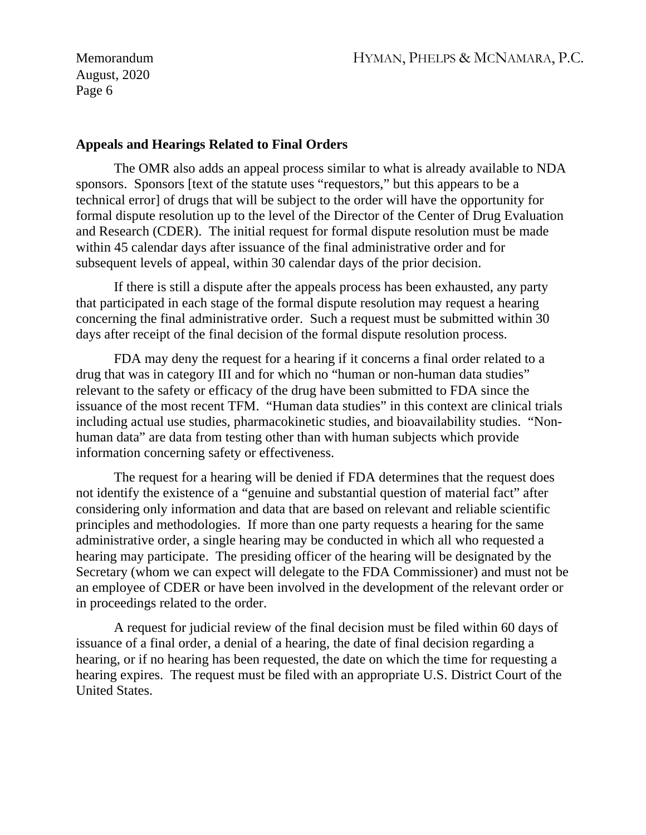#### **Appeals and Hearings Related to Final Orders**

The OMR also adds an appeal process similar to what is already available to NDA sponsors. Sponsors [text of the statute uses "requestors," but this appears to be a technical error] of drugs that will be subject to the order will have the opportunity for formal dispute resolution up to the level of the Director of the Center of Drug Evaluation and Research (CDER). The initial request for formal dispute resolution must be made within 45 calendar days after issuance of the final administrative order and for subsequent levels of appeal, within 30 calendar days of the prior decision.

If there is still a dispute after the appeals process has been exhausted, any party that participated in each stage of the formal dispute resolution may request a hearing concerning the final administrative order. Such a request must be submitted within 30 days after receipt of the final decision of the formal dispute resolution process.

FDA may deny the request for a hearing if it concerns a final order related to a drug that was in category III and for which no "human or non-human data studies" relevant to the safety or efficacy of the drug have been submitted to FDA since the issuance of the most recent TFM. "Human data studies" in this context are clinical trials including actual use studies, pharmacokinetic studies, and bioavailability studies. "Nonhuman data" are data from testing other than with human subjects which provide information concerning safety or effectiveness.

The request for a hearing will be denied if FDA determines that the request does not identify the existence of a "genuine and substantial question of material fact" after considering only information and data that are based on relevant and reliable scientific principles and methodologies. If more than one party requests a hearing for the same administrative order, a single hearing may be conducted in which all who requested a hearing may participate. The presiding officer of the hearing will be designated by the Secretary (whom we can expect will delegate to the FDA Commissioner) and must not be an employee of CDER or have been involved in the development of the relevant order or in proceedings related to the order.

A request for judicial review of the final decision must be filed within 60 days of issuance of a final order, a denial of a hearing, the date of final decision regarding a hearing, or if no hearing has been requested, the date on which the time for requesting a hearing expires. The request must be filed with an appropriate U.S. District Court of the United States.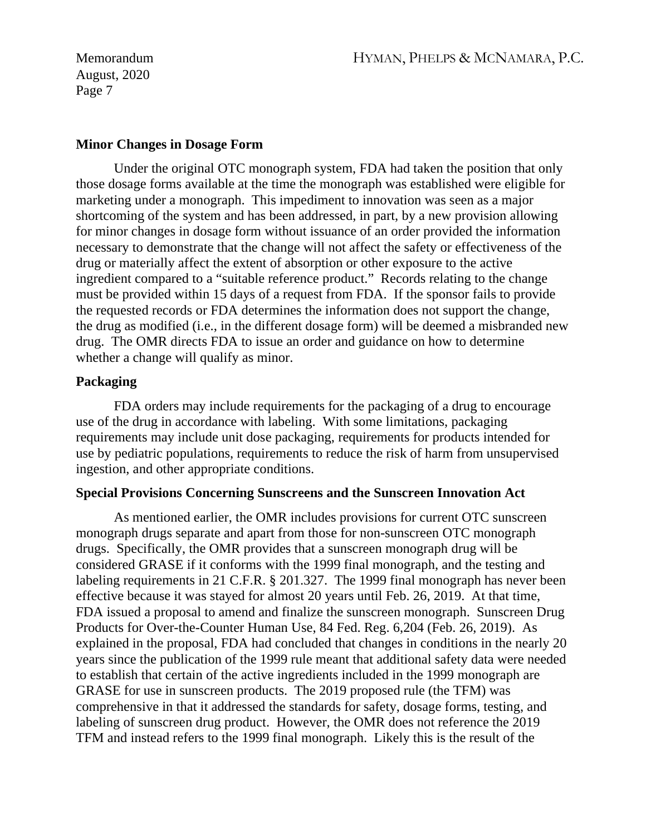#### **Minor Changes in Dosage Form**

Under the original OTC monograph system, FDA had taken the position that only those dosage forms available at the time the monograph was established were eligible for marketing under a monograph. This impediment to innovation was seen as a major shortcoming of the system and has been addressed, in part, by a new provision allowing for minor changes in dosage form without issuance of an order provided the information necessary to demonstrate that the change will not affect the safety or effectiveness of the drug or materially affect the extent of absorption or other exposure to the active ingredient compared to a "suitable reference product." Records relating to the change must be provided within 15 days of a request from FDA. If the sponsor fails to provide the requested records or FDA determines the information does not support the change, the drug as modified (i.e., in the different dosage form) will be deemed a misbranded new drug. The OMR directs FDA to issue an order and guidance on how to determine whether a change will qualify as minor.

## **Packaging**

FDA orders may include requirements for the packaging of a drug to encourage use of the drug in accordance with labeling. With some limitations, packaging requirements may include unit dose packaging, requirements for products intended for use by pediatric populations, requirements to reduce the risk of harm from unsupervised ingestion, and other appropriate conditions.

#### **Special Provisions Concerning Sunscreens and the Sunscreen Innovation Act**

As mentioned earlier, the OMR includes provisions for current OTC sunscreen monograph drugs separate and apart from those for non-sunscreen OTC monograph drugs. Specifically, the OMR provides that a sunscreen monograph drug will be considered GRASE if it conforms with the 1999 final monograph, and the testing and labeling requirements in 21 C.F.R. § 201.327. The 1999 final monograph has never been effective because it was stayed for almost 20 years until Feb. 26, 2019. At that time, FDA issued a proposal to amend and finalize the sunscreen monograph. Sunscreen Drug Products for Over-the-Counter Human Use, 84 Fed. Reg. 6,204 (Feb. 26, 2019). As explained in the proposal, FDA had concluded that changes in conditions in the nearly 20 years since the publication of the 1999 rule meant that additional safety data were needed to establish that certain of the active ingredients included in the 1999 monograph are GRASE for use in sunscreen products. The 2019 proposed rule (the TFM) was comprehensive in that it addressed the standards for safety, dosage forms, testing, and labeling of sunscreen drug product. However, the OMR does not reference the 2019 TFM and instead refers to the 1999 final monograph. Likely this is the result of the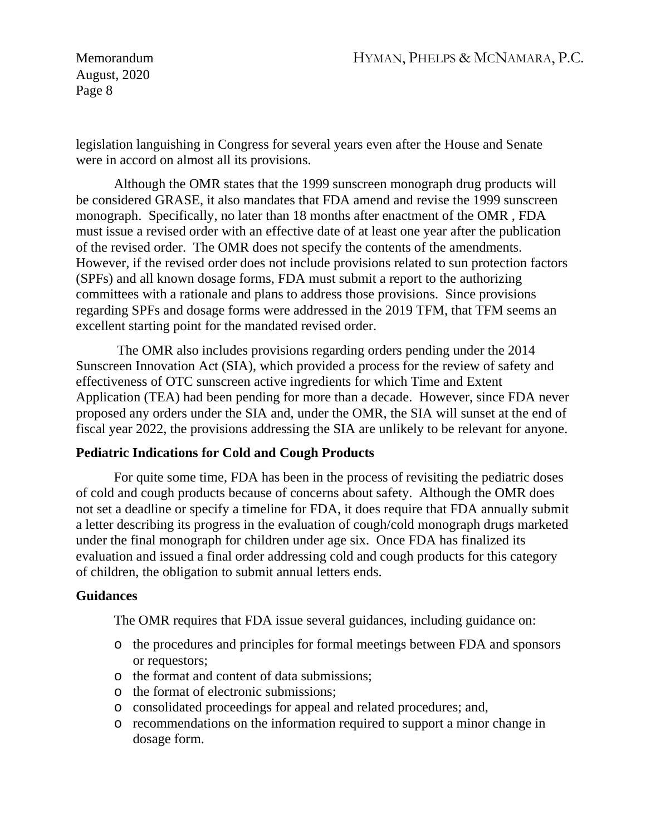legislation languishing in Congress for several years even after the House and Senate were in accord on almost all its provisions.

Although the OMR states that the 1999 sunscreen monograph drug products will be considered GRASE, it also mandates that FDA amend and revise the 1999 sunscreen monograph. Specifically, no later than 18 months after enactment of the OMR , FDA must issue a revised order with an effective date of at least one year after the publication of the revised order. The OMR does not specify the contents of the amendments. However, if the revised order does not include provisions related to sun protection factors (SPFs) and all known dosage forms, FDA must submit a report to the authorizing committees with a rationale and plans to address those provisions. Since provisions regarding SPFs and dosage forms were addressed in the 2019 TFM, that TFM seems an excellent starting point for the mandated revised order.

The OMR also includes provisions regarding orders pending under the 2014 Sunscreen Innovation Act (SIA), which provided a process for the review of safety and effectiveness of OTC sunscreen active ingredients for which Time and Extent Application (TEA) had been pending for more than a decade. However, since FDA never proposed any orders under the SIA and, under the OMR, the SIA will sunset at the end of fiscal year 2022, the provisions addressing the SIA are unlikely to be relevant for anyone.

#### **Pediatric Indications for Cold and Cough Products**

For quite some time, FDA has been in the process of revisiting the pediatric doses of cold and cough products because of concerns about safety. Although the OMR does not set a deadline or specify a timeline for FDA, it does require that FDA annually submit a letter describing its progress in the evaluation of cough/cold monograph drugs marketed under the final monograph for children under age six. Once FDA has finalized its evaluation and issued a final order addressing cold and cough products for this category of children, the obligation to submit annual letters ends.

#### **Guidances**

The OMR requires that FDA issue several guidances, including guidance on:

- o the procedures and principles for formal meetings between FDA and sponsors or requestors;
- o the format and content of data submissions;
- o the format of electronic submissions;
- o consolidated proceedings for appeal and related procedures; and,
- o recommendations on the information required to support a minor change in dosage form.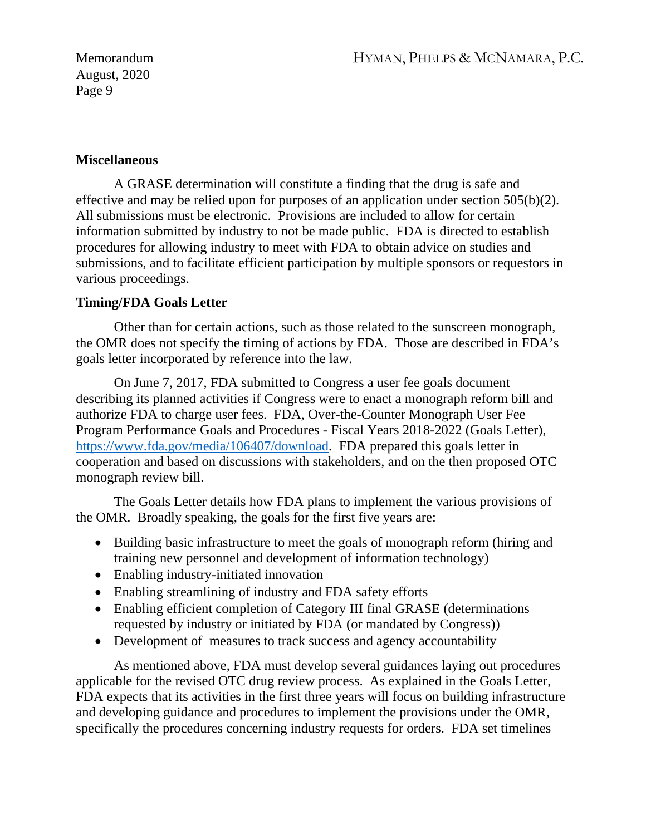#### **Miscellaneous**

A GRASE determination will constitute a finding that the drug is safe and effective and may be relied upon for purposes of an application under section 505(b)(2). All submissions must be electronic. Provisions are included to allow for certain information submitted by industry to not be made public. FDA is directed to establish procedures for allowing industry to meet with FDA to obtain advice on studies and submissions, and to facilitate efficient participation by multiple sponsors or requestors in various proceedings.

## **Timing/FDA Goals Letter**

Other than for certain actions, such as those related to the sunscreen monograph, the OMR does not specify the timing of actions by FDA. Those are described in FDA's goals letter incorporated by reference into the law.

On June 7, 2017, FDA submitted to Congress a user fee goals document describing its planned activities if Congress were to enact a monograph reform bill and authorize FDA to charge user fees. FDA, Over-the-Counter Monograph User Fee Program Performance Goals and Procedures - Fiscal Years 2018-2022 (Goals Letter), [https://www.fda.gov/media/106407/download.](https://www.fda.gov/media/106407/download) FDA prepared this goals letter in cooperation and based on discussions with stakeholders, and on the then proposed OTC monograph review bill.

The Goals Letter details how FDA plans to implement the various provisions of the OMR. Broadly speaking, the goals for the first five years are:

- Building basic infrastructure to meet the goals of monograph reform (hiring and training new personnel and development of information technology)
- Enabling industry-initiated innovation
- Enabling streamlining of industry and FDA safety efforts
- Enabling efficient completion of Category III final GRASE (determinations requested by industry or initiated by FDA (or mandated by Congress))
- Development of measures to track success and agency accountability

As mentioned above, FDA must develop several guidances laying out procedures applicable for the revised OTC drug review process. As explained in the Goals Letter, FDA expects that its activities in the first three years will focus on building infrastructure and developing guidance and procedures to implement the provisions under the OMR, specifically the procedures concerning industry requests for orders. FDA set timelines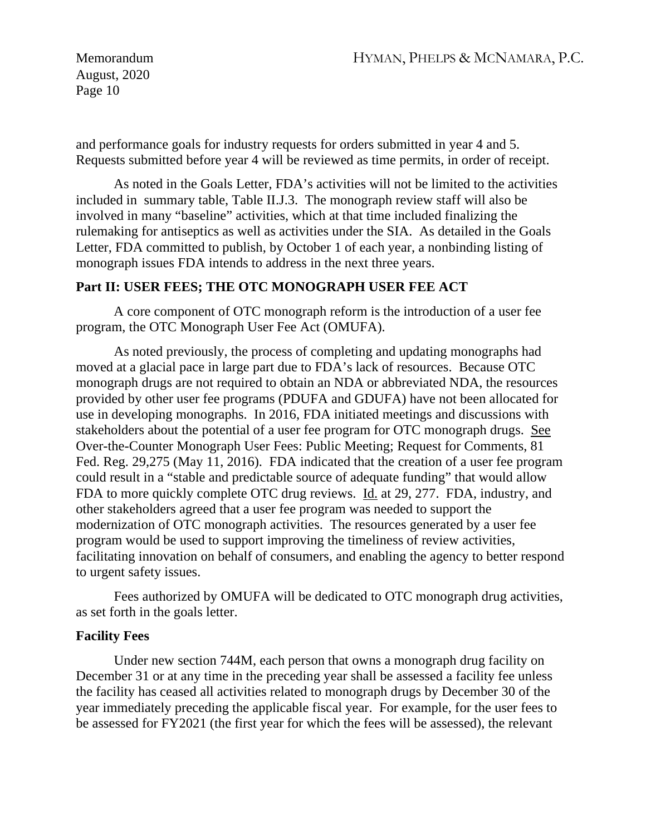and performance goals for industry requests for orders submitted in year 4 and 5. Requests submitted before year 4 will be reviewed as time permits, in order of receipt.

As noted in the Goals Letter, FDA's activities will not be limited to the activities included in summary table, Table II.J.3. The monograph review staff will also be involved in many "baseline" activities, which at that time included finalizing the rulemaking for antiseptics as well as activities under the SIA. As detailed in the Goals Letter, FDA committed to publish, by October 1 of each year, a nonbinding listing of monograph issues FDA intends to address in the next three years.

## **Part II: USER FEES; THE OTC MONOGRAPH USER FEE ACT**

A core component of OTC monograph reform is the introduction of a user fee program, the OTC Monograph User Fee Act (OMUFA).

As noted previously, the process of completing and updating monographs had moved at a glacial pace in large part due to FDA's lack of resources. Because OTC monograph drugs are not required to obtain an NDA or abbreviated NDA, the resources provided by other user fee programs (PDUFA and GDUFA) have not been allocated for use in developing monographs. In 2016, FDA initiated meetings and discussions with stakeholders about the potential of a user fee program for OTC monograph drugs. See Over-the-Counter Monograph User Fees: Public Meeting; Request for Comments, 81 Fed. Reg. 29,275 (May 11, 2016). FDA indicated that the creation of a user fee program could result in a "stable and predictable source of adequate funding" that would allow FDA to more quickly complete OTC drug reviews. Id. at 29, 277. FDA, industry, and other stakeholders agreed that a user fee program was needed to support the modernization of OTC monograph activities. The resources generated by a user fee program would be used to support improving the timeliness of review activities, facilitating innovation on behalf of consumers, and enabling the agency to better respond to urgent safety issues.

Fees authorized by OMUFA will be dedicated to OTC monograph drug activities, as set forth in the goals letter.

#### **Facility Fees**

Under new section 744M, each person that owns a monograph drug facility on December 31 or at any time in the preceding year shall be assessed a facility fee unless the facility has ceased all activities related to monograph drugs by December 30 of the year immediately preceding the applicable fiscal year. For example, for the user fees to be assessed for FY2021 (the first year for which the fees will be assessed), the relevant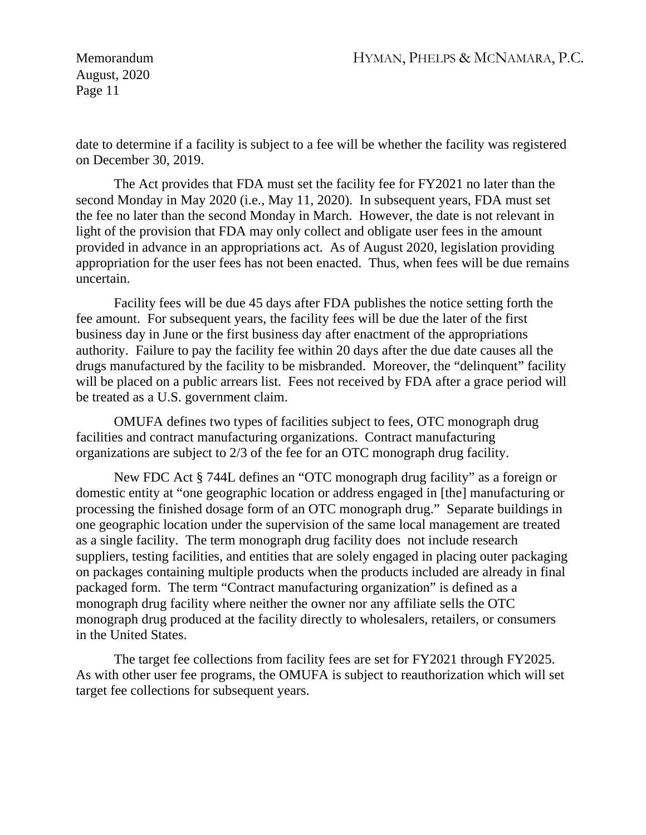date to determine if a facility is subject to a fee will be whether the facility was registered on December 30, 2019.

The Act provides that FDA must set the facility fee for FY2021 no later than the second Monday in May 2020 (i.e., May 11, 2020). In subsequent years, FDA must set the fee no later than the second Monday in March. However, the date is not relevant in light of the provision that FDA may only collect and obligate user fees in the amount provided in advance in an appropriations act. As of August 2020, legislation providing appropriation for the user fees has not been enacted. Thus, when fees will be due remains uncertain.

Facility fees will be due 45 days after FDA publishes the notice setting forth the fee amount. For subsequent years, the facility fees will be due the later of the first business day in June or the first business day after enactment of the appropriations authority. Failure to pay the facility fee within 20 days after the due date causes all the drugs manufactured by the facility to be misbranded. Moreover, the "delinquent" facility will be placed on a public arrears list. Fees not received by FDA after a grace period will be treated as a U.S. government claim.

OMUFA defines two types of facilities subject to fees, OTC monograph drug facilities and contract manufacturing organizations. Contract manufacturing organizations are subject to 2/3 of the fee for an OTC monograph drug facility.

New FDC Act § 744L defines an "OTC monograph drug facility" as a foreign or domestic entity at "one geographic location or address engaged in [the] manufacturing or processing the finished dosage form of an OTC monograph drug." Separate buildings in one geographic location under the supervision of the same local management are treated as a single facility. The term monograph drug facility does not include research suppliers, testing facilities, and entities that are solely engaged in placing outer packaging on packages containing multiple products when the products included are already in final packaged form. The term "Contract manufacturing organization" is defined as a monograph drug facility where neither the owner nor any affiliate sells the OTC monograph drug produced at the facility directly to wholesalers, retailers, or consumers in the United States.

The target fee collections from facility fees are set for FY2021 through FY2025. As with other user fee programs, the OMUFA is subject to reauthorization which will set target fee collections for subsequent years.